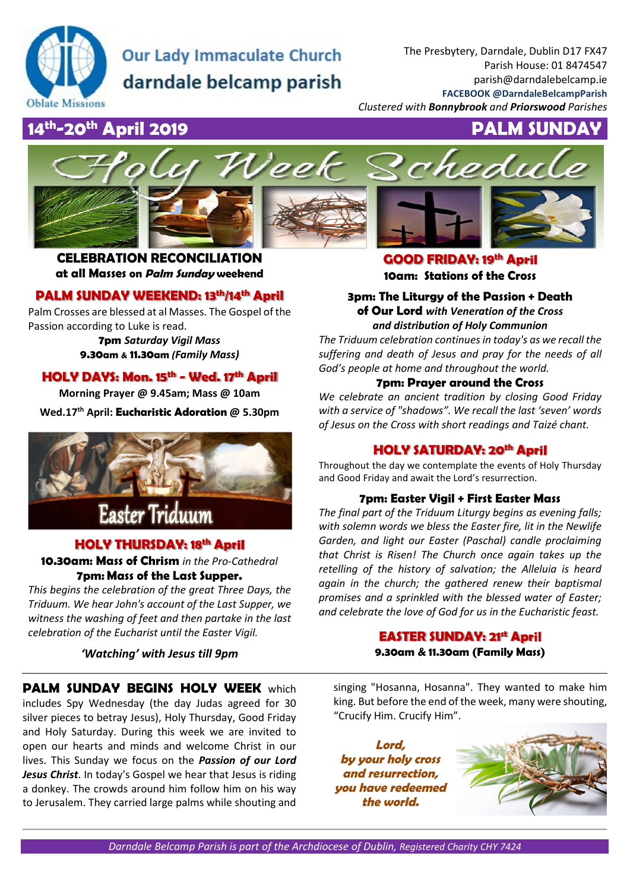

# **Our Lady Immaculate Church** darndale belcamp parish

The Presbytery, Darndale, Dublin D17 FX47 Parish House: 01 8474547 parish@darndalebelcamp.ie **FACEBOOK @DarndaleBelcampParish**  *Clustered with Bonnybrook and Priorswood Parishes* 

## **14th-20th April 2019 PALM SUNDAY**



**CELEBRATION RECONCILIATION at all Masses on Palm Sunday weekend** 

## **PALM SUNDAY WEEKEND: 13th/14th April**

Palm Crosses are blessed at al Masses. The Gospel of the Passion according to Luke is read.

> **7pm** *Saturday Vigil Mass* **9.30am & 11.30am** *(Family Mass)*

## **HOLY DAYS: Mon. 15th - Wed. 17th April**

**Morning Prayer @ 9.45am; Mass @ 10am** 

**Wed.17th April: Eucharistic Adoration @ 5.30pm** 



## **HOLY THURSDAY: 18th April**

**10.30am: Mass of Chrism** *in the Pro-Cathedral* **7pm: Mass of the Last Supper.**

*This begins the celebration of the great Three Days, the Triduum. We hear John's account of the Last Supper, we witness the washing of feet and then partake in the last celebration of the Eucharist until the Easter Vigil.* 

*'Watching' with Jesus till 9pm* 

**PALM SUNDAY BEGINS HOLY WEEK** which includes Spy Wednesday (the day Judas agreed for 30 silver pieces to betray Jesus), Holy Thursday, Good Friday and Holy Saturday. During this week we are invited to open our hearts and minds and welcome Christ in our lives. This Sunday we focus on the *Passion of our Lord Jesus Christ*. In today's Gospel we hear that Jesus is riding a donkey. The crowds around him follow him on his way to Jerusalem. They carried large palms while shouting and

**GOOD FRIDAY: 19th April 10am: Stations of the Cross**

**3pm: The Liturgy of the Passion + Death of Our Lord** *with Veneration of the Cross and distribution of Holy Communion* 

*The Triduum celebration continues in today's as we recall the suffering and death of Jesus and pray for the needs of all God's people at home and throughout the world.* 

#### **7pm: Prayer around the Cross**

*We celebrate an ancient tradition by closing Good Friday with a service of "shadows". We recall the last 'seven' words of Jesus on the Cross with short readings and Taizé chant.*

### **HOLY SATURDAY: 20th April**

Throughout the day we contemplate the events of Holy Thursday and Good Friday and await the Lord's resurrection.

#### **7pm: Easter Vigil + First Easter Mass**

*The final part of the Triduum Liturgy begins as evening falls; with solemn words we bless the Easter fire, lit in the Newlife Garden, and light our Easter (Paschal) candle proclaiming that Christ is Risen! The Church once again takes up the retelling of the history of salvation; the Alleluia is heard again in the church; the gathered renew their baptismal promises and a sprinkled with the blessed water of Easter; and celebrate the love of God for us in the Eucharistic feast.*

## **EASTER SUNDAY: 21st April**

**9.30am & 11.30am (Family Mass)**

singing "Hosanna, Hosanna". They wanted to make him king. But before the end of the week, many were shouting, "Crucify Him. Crucify Him".

**Lord, by your holy cross and resurrection, you have redeemed the world.**